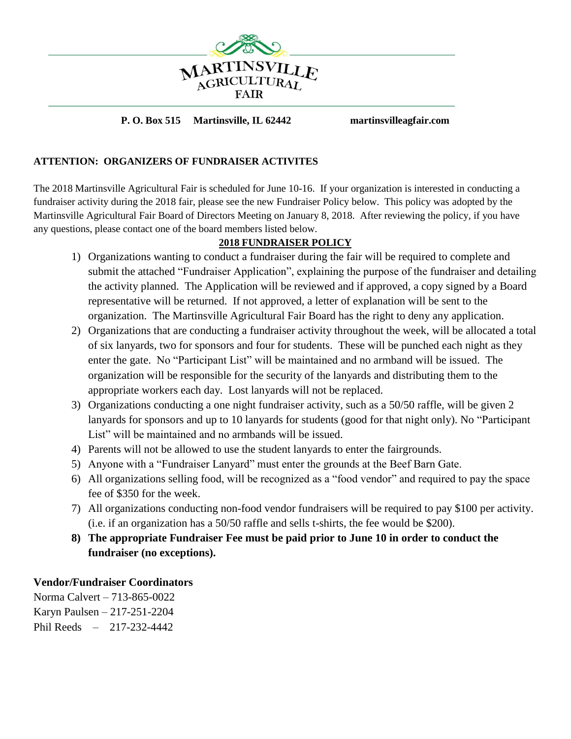

## **P. O. Box 515 Martinsville, IL 62442 martinsvilleagfair.com**

## **ATTENTION: ORGANIZERS OF FUNDRAISER ACTIVITES**

The 2018 Martinsville Agricultural Fair is scheduled for June 10-16. If your organization is interested in conducting a fundraiser activity during the 2018 fair, please see the new Fundraiser Policy below. This policy was adopted by the Martinsville Agricultural Fair Board of Directors Meeting on January 8, 2018. After reviewing the policy, if you have any questions, please contact one of the board members listed below.

## **2018 FUNDRAISER POLICY**

- 1) Organizations wanting to conduct a fundraiser during the fair will be required to complete and submit the attached "Fundraiser Application", explaining the purpose of the fundraiser and detailing the activity planned. The Application will be reviewed and if approved, a copy signed by a Board representative will be returned. If not approved, a letter of explanation will be sent to the organization. The Martinsville Agricultural Fair Board has the right to deny any application.
- 2) Organizations that are conducting a fundraiser activity throughout the week, will be allocated a total of six lanyards, two for sponsors and four for students. These will be punched each night as they enter the gate. No "Participant List" will be maintained and no armband will be issued. The organization will be responsible for the security of the lanyards and distributing them to the appropriate workers each day. Lost lanyards will not be replaced.
- 3) Organizations conducting a one night fundraiser activity, such as a 50/50 raffle, will be given 2 lanyards for sponsors and up to 10 lanyards for students (good for that night only). No "Participant List" will be maintained and no armbands will be issued.
- 4) Parents will not be allowed to use the student lanyards to enter the fairgrounds.
- 5) Anyone with a "Fundraiser Lanyard" must enter the grounds at the Beef Barn Gate.
- 6) All organizations selling food, will be recognized as a "food vendor" and required to pay the space fee of \$350 for the week.
- 7) All organizations conducting non-food vendor fundraisers will be required to pay \$100 per activity. (i.e. if an organization has a 50/50 raffle and sells t-shirts, the fee would be \$200).
- **8) The appropriate Fundraiser Fee must be paid prior to June 10 in order to conduct the fundraiser (no exceptions).**

**Vendor/Fundraiser Coordinators**

Norma Calvert – 713-865-0022 Karyn Paulsen – 217-251-2204 Phil Reeds – 217-232-4442